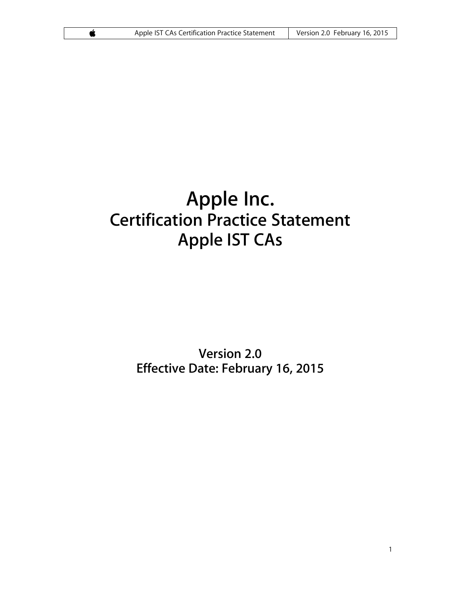# **Apple Inc. Certification Practice Statement Apple IST CAs**

# **Version 2.0 Effective Date: February 16, 2015**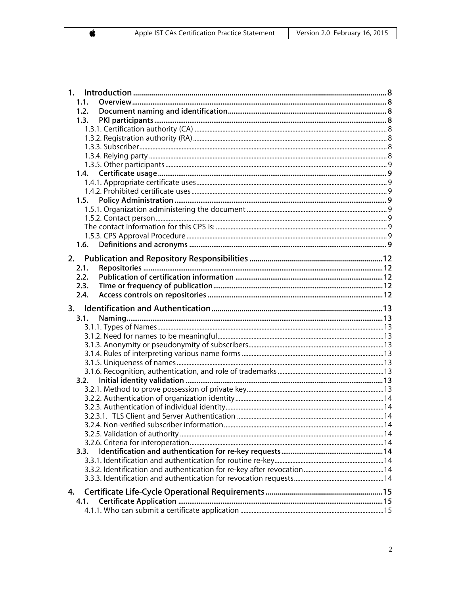| 1.   |  |
|------|--|
| 1.1. |  |
| 1.2. |  |
| 1.3. |  |
|      |  |
|      |  |
|      |  |
|      |  |
| 1.4. |  |
|      |  |
|      |  |
| 1.5. |  |
|      |  |
|      |  |
|      |  |
|      |  |
| 1.6. |  |
| 2.   |  |
| 2.1. |  |
| 2.2. |  |
| 2.3. |  |
| 2.4. |  |
| 3.   |  |
| 3.1. |  |
|      |  |
|      |  |
|      |  |
|      |  |
|      |  |
|      |  |
| 3.2. |  |
|      |  |
|      |  |
|      |  |
|      |  |
|      |  |
|      |  |
| 3.3. |  |
|      |  |
|      |  |
|      |  |
| 4.   |  |
|      |  |
| 4.1. |  |
|      |  |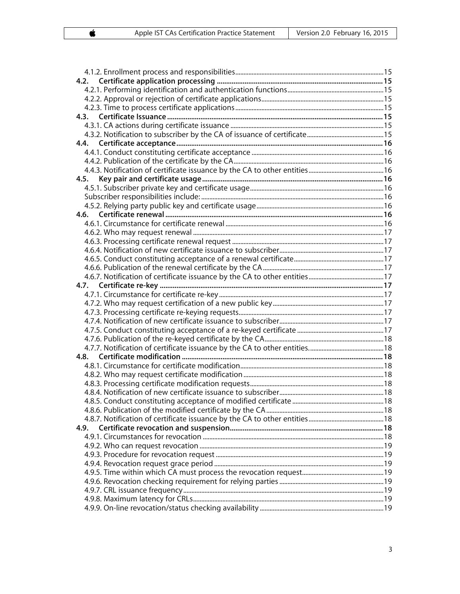| 4.9. |  |
|------|--|
|      |  |
|      |  |
|      |  |
|      |  |
|      |  |
|      |  |
|      |  |
|      |  |
|      |  |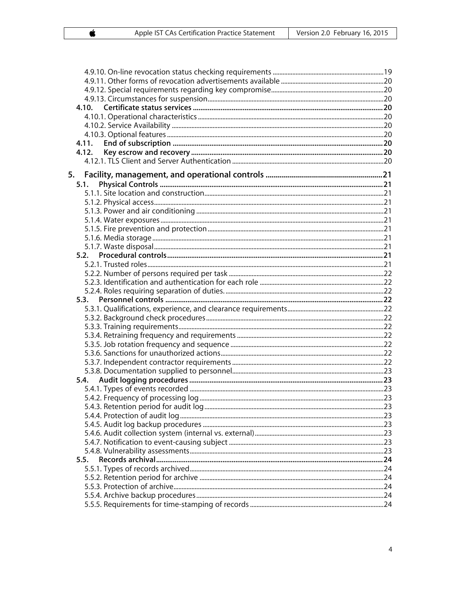| 4.12. |  |
|-------|--|
|       |  |
|       |  |
|       |  |
| 5.1.  |  |
|       |  |
|       |  |
|       |  |
|       |  |
|       |  |
|       |  |
|       |  |
|       |  |
|       |  |
|       |  |
|       |  |
|       |  |
| 5.3.  |  |
|       |  |
|       |  |
|       |  |
|       |  |
|       |  |
|       |  |
|       |  |
|       |  |
| 5.4.  |  |
|       |  |
|       |  |
|       |  |
|       |  |
|       |  |
|       |  |
|       |  |
|       |  |
| 5.5.  |  |
|       |  |
|       |  |
|       |  |
|       |  |
|       |  |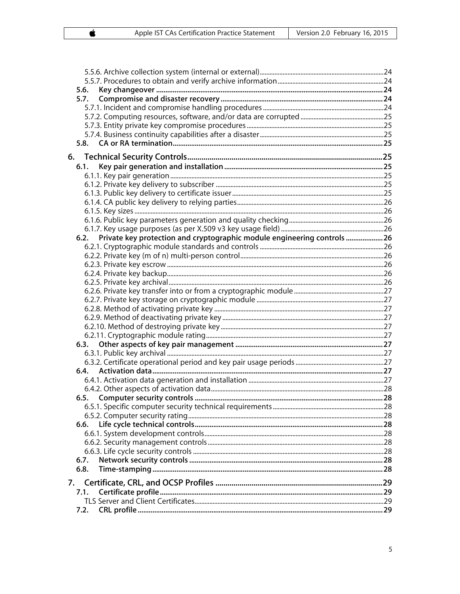|    | 5.6.                                                                    |  |
|----|-------------------------------------------------------------------------|--|
|    |                                                                         |  |
|    |                                                                         |  |
|    |                                                                         |  |
|    |                                                                         |  |
|    |                                                                         |  |
|    |                                                                         |  |
|    |                                                                         |  |
|    |                                                                         |  |
|    | 6.1.                                                                    |  |
|    |                                                                         |  |
|    |                                                                         |  |
|    |                                                                         |  |
|    |                                                                         |  |
|    |                                                                         |  |
|    |                                                                         |  |
|    | 6.2.                                                                    |  |
|    | Private key protection and cryptographic module engineering controls 26 |  |
|    |                                                                         |  |
|    |                                                                         |  |
|    |                                                                         |  |
|    |                                                                         |  |
|    |                                                                         |  |
|    |                                                                         |  |
|    |                                                                         |  |
|    |                                                                         |  |
|    |                                                                         |  |
|    |                                                                         |  |
|    | 6.3.                                                                    |  |
|    |                                                                         |  |
|    |                                                                         |  |
|    |                                                                         |  |
|    |                                                                         |  |
|    |                                                                         |  |
|    |                                                                         |  |
|    |                                                                         |  |
|    |                                                                         |  |
|    | 6.6.                                                                    |  |
|    |                                                                         |  |
|    |                                                                         |  |
|    |                                                                         |  |
|    | 6.7.                                                                    |  |
|    | 6.8.                                                                    |  |
|    |                                                                         |  |
| 7. |                                                                         |  |
|    | 7.1.                                                                    |  |
|    |                                                                         |  |
|    | 7.2.                                                                    |  |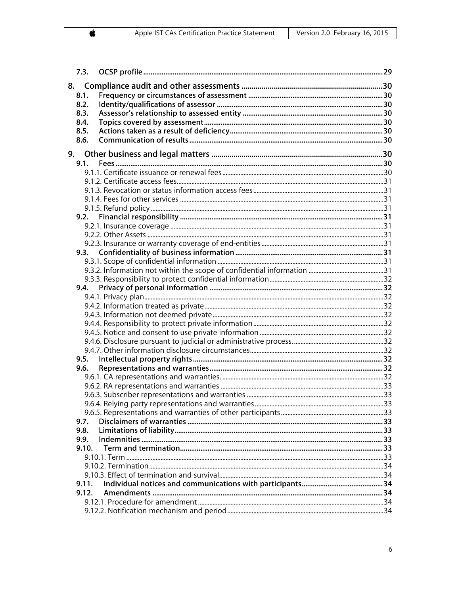| 7.3.         |  |
|--------------|--|
|              |  |
| 8.1.         |  |
| 8.2.         |  |
| 8.3.         |  |
| 8.4.         |  |
| 8.5.         |  |
| 8.6.         |  |
|              |  |
| 9.1.         |  |
|              |  |
|              |  |
|              |  |
|              |  |
|              |  |
|              |  |
|              |  |
|              |  |
| 9.3.         |  |
|              |  |
|              |  |
|              |  |
| 9.4.         |  |
|              |  |
|              |  |
|              |  |
|              |  |
|              |  |
|              |  |
|              |  |
| 9.5.         |  |
| 9.6.         |  |
|              |  |
|              |  |
|              |  |
|              |  |
|              |  |
| 9.7.<br>9.8. |  |
| 9.9.         |  |
| 9.10.        |  |
|              |  |
|              |  |
|              |  |
| 9.11.        |  |
| 9.12.        |  |
|              |  |
|              |  |
|              |  |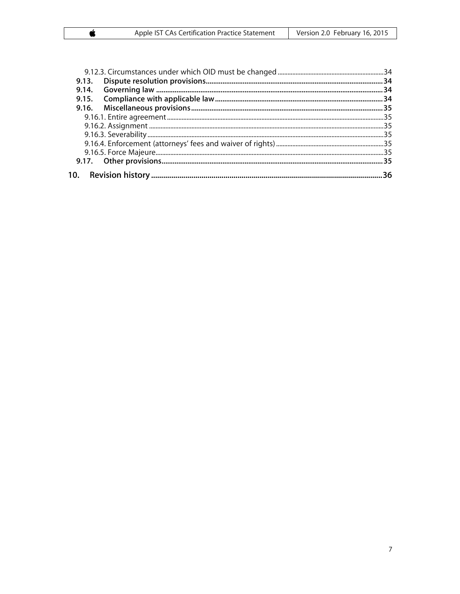|  | 36 |  |  |
|--|----|--|--|

 $\pmb{\acute{\mathbf{c}}}$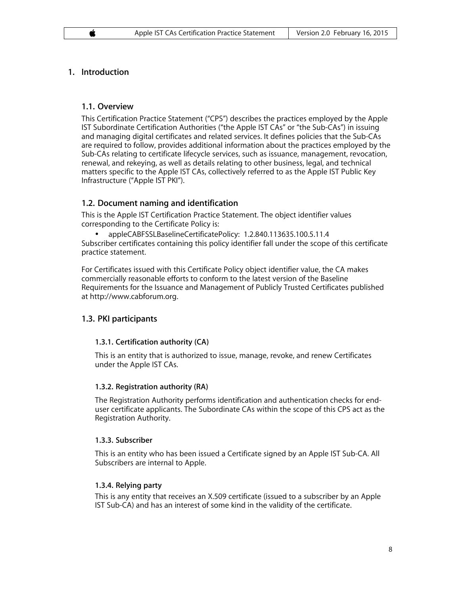# **1. Introduction**

# **1.1. Overview**

This Certification Practice Statement ("CPS") describes the practices employed by the Apple IST Subordinate Certification Authorities ("the Apple IST CAs" or "the Sub-CAs") in issuing and managing digital certificates and related services. It defines policies that the Sub-CAs are required to follow, provides additional information about the practices employed by the Sub-CAs relating to certificate lifecycle services, such as issuance, management, revocation, renewal, and rekeying, as well as details relating to other business, legal, and technical matters specific to the Apple IST CAs, collectively referred to as the Apple IST Public Key Infrastructure ("Apple IST PKI").

# **1.2. Document naming and identification**

This is the Apple IST Certification Practice Statement. The object identifier values corresponding to the Certificate Policy is:

• appleCABFSSLBaselineCertificatePolicy: 1.2.840.113635.100.5.11.4 Subscriber certificates containing this policy identifier fall under the scope of this certificate practice statement.

For Certificates issued with this Certificate Policy object identifier value, the CA makes commercially reasonable efforts to conform to the latest version of the Baseline Requirements for the Issuance and Management of Publicly Trusted Certificates published at http://www.cabforum.org.

# **1.3. PKI participants**

# **1.3.1. Certification authority (CA)**

This is an entity that is authorized to issue, manage, revoke, and renew Certificates under the Apple IST CAs.

# **1.3.2. Registration authority (RA)**

The Registration Authority performs identification and authentication checks for enduser certificate applicants. The Subordinate CAs within the scope of this CPS act as the Registration Authority.

# **1.3.3. Subscriber**

This is an entity who has been issued a Certificate signed by an Apple IST Sub-CA. All Subscribers are internal to Apple.

# **1.3.4. Relying party**

This is any entity that receives an X.509 certificate (issued to a subscriber by an Apple IST Sub-CA) and has an interest of some kind in the validity of the certificate.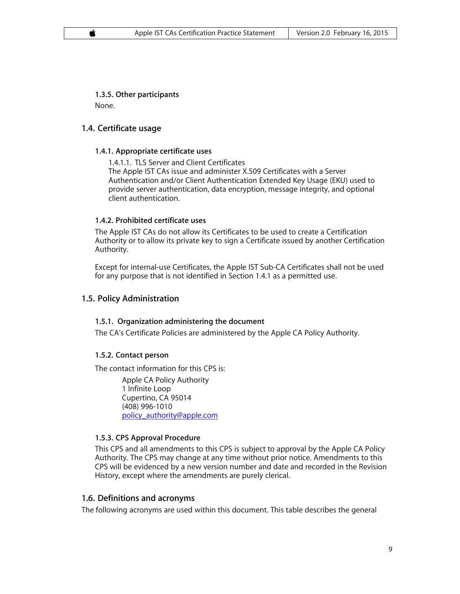**1.3.5. Other participants** None.

# **1.4. Certificate usage**

#### **1.4.1. Appropriate certificate uses**

1.4.1.1. TLS Server and Client Certificates The Apple IST CAs issue and administer X.509 Certificates with a Server Authentication and/or Client Authentication Extended Key Usage (EKU) used to provide server authentication, data encryption, message integrity, and optional client authentication.

#### **1.4.2. Prohibited certificate uses**

The Apple IST CAs do not allow its Certificates to be used to create a Certification Authority or to allow its private key to sign a Certificate issued by another Certification Authority.

Except for internal-use Certificates, the Apple IST Sub-CA Certificates shall not be used for any purpose that is not identified in Section 1.4.1 as a permitted use.

# **1.5. Policy Administration**

#### **1.5.1. Organization administering the document**

The CA's Certificate Policies are administered by the Apple CA Policy Authority.

# **1.5.2. Contact person**

The contact information for this CPS is:

Apple CA Policy Authority 1 Infinite Loop Cupertino, CA 95014 (408) 996-1010 policy\_authority@apple.com

# **1.5.3. CPS Approval Procedure**

This CPS and all amendments to this CPS is subject to approval by the Apple CA Policy Authority. The CPS may change at any time without prior notice. Amendments to this CPS will be evidenced by a new version number and date and recorded in the Revision History, except where the amendments are purely clerical.

# **1.6. Definitions and acronyms**

The following acronyms are used within this document. This table describes the general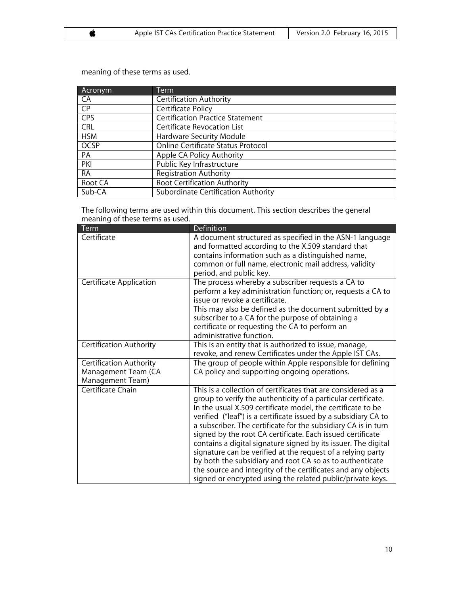Acronym Term CA Certification Authority<br>
CP Certificate Policy CP Certificate Policy<br>
CPS Certification Practiculary **Certification Practice Statement** CRL Certificate Revocation List HSM Hardware Security Module<br>
OCSP Online Certificate Status Pre OCSP Online Certificate Status Protocol<br>
PA Apple CA Policy Authority Apple CA Policy Authority PKI Public Key Infrastructure<br>
RA Registration Authority **Registration Authority** Root CA Root Certification Authority<br>
Sub-CA Subordinate Certification Au Subordinate Certification Authority

meaning of these terms as used.

The following terms are used within this document. This section describes the general meaning of these terms as used.

| Term                                                               | Definition                                                                                                                                                                                                                                                                                                                                                                                                                                                                                                                                                                                                                                                                                                                  |
|--------------------------------------------------------------------|-----------------------------------------------------------------------------------------------------------------------------------------------------------------------------------------------------------------------------------------------------------------------------------------------------------------------------------------------------------------------------------------------------------------------------------------------------------------------------------------------------------------------------------------------------------------------------------------------------------------------------------------------------------------------------------------------------------------------------|
| Certificate                                                        | A document structured as specified in the ASN-1 language<br>and formatted according to the X.509 standard that<br>contains information such as a distinguished name,<br>common or full name, electronic mail address, validity<br>period, and public key.                                                                                                                                                                                                                                                                                                                                                                                                                                                                   |
| Certificate Application                                            | The process whereby a subscriber requests a CA to<br>perform a key administration function; or, requests a CA to<br>issue or revoke a certificate.<br>This may also be defined as the document submitted by a<br>subscriber to a CA for the purpose of obtaining a<br>certificate or requesting the CA to perform an<br>administrative function.                                                                                                                                                                                                                                                                                                                                                                            |
| Certification Authority                                            | This is an entity that is authorized to issue, manage,<br>revoke, and renew Certificates under the Apple IST CAs.                                                                                                                                                                                                                                                                                                                                                                                                                                                                                                                                                                                                           |
| Certification Authority<br>Management Team (CA<br>Management Team) | The group of people within Apple responsible for defining<br>CA policy and supporting ongoing operations.                                                                                                                                                                                                                                                                                                                                                                                                                                                                                                                                                                                                                   |
| Certificate Chain                                                  | This is a collection of certificates that are considered as a<br>group to verify the authenticity of a particular certificate.<br>In the usual X.509 certificate model, the certificate to be<br>verified ("leaf") is a certificate issued by a subsidiary CA to<br>a subscriber. The certificate for the subsidiary CA is in turn<br>signed by the root CA certificate. Each issued certificate<br>contains a digital signature signed by its issuer. The digital<br>signature can be verified at the request of a relying party<br>by both the subsidiary and root CA so as to authenticate<br>the source and integrity of the certificates and any objects<br>signed or encrypted using the related public/private keys. |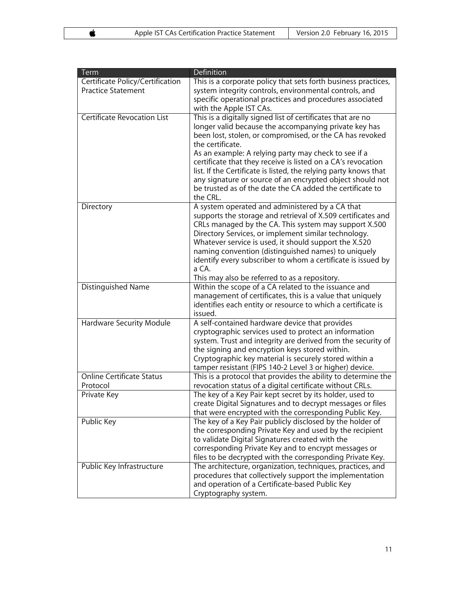| Term                               | Definition                                                                                            |
|------------------------------------|-------------------------------------------------------------------------------------------------------|
| Certificate Policy/Certification   | This is a corporate policy that sets forth business practices,                                        |
| <b>Practice Statement</b>          | system integrity controls, environmental controls, and                                                |
|                                    | specific operational practices and procedures associated                                              |
|                                    | with the Apple IST CAs.                                                                               |
| <b>Certificate Revocation List</b> | This is a digitally signed list of certificates that are no                                           |
|                                    | longer valid because the accompanying private key has                                                 |
|                                    | been lost, stolen, or compromised, or the CA has revoked                                              |
|                                    | the certificate.                                                                                      |
|                                    | As an example: A relying party may check to see if a                                                  |
|                                    | certificate that they receive is listed on a CA's revocation                                          |
|                                    | list. If the Certificate is listed, the relying party knows that                                      |
|                                    | any signature or source of an encrypted object should not                                             |
|                                    | be trusted as of the date the CA added the certificate to                                             |
|                                    | the CRL.                                                                                              |
| Directory                          | A system operated and administered by a CA that                                                       |
|                                    | supports the storage and retrieval of X.509 certificates and                                          |
|                                    | CRLs managed by the CA. This system may support X.500                                                 |
|                                    | Directory Services, or implement similar technology.                                                  |
|                                    | Whatever service is used, it should support the X.520                                                 |
|                                    | naming convention (distinguished names) to uniquely                                                   |
|                                    | identify every subscriber to whom a certificate is issued by<br>a CA.                                 |
|                                    |                                                                                                       |
| Distinguished Name                 | This may also be referred to as a repository.<br>Within the scope of a CA related to the issuance and |
|                                    | management of certificates, this is a value that uniquely                                             |
|                                    | identifies each entity or resource to which a certificate is                                          |
|                                    | issued.                                                                                               |
| <b>Hardware Security Module</b>    | A self-contained hardware device that provides                                                        |
|                                    | cryptographic services used to protect an information                                                 |
|                                    | system. Trust and integrity are derived from the security of                                          |
|                                    | the signing and encryption keys stored within.                                                        |
|                                    | Cryptographic key material is securely stored within a                                                |
|                                    | tamper resistant (FIPS 140-2 Level 3 or higher) device.                                               |
| <b>Online Certificate Status</b>   | This is a protocol that provides the ability to determine the                                         |
| Protocol                           | revocation status of a digital certificate without CRLs.                                              |
| Private Key                        | The key of a Key Pair kept secret by its holder, used to                                              |
|                                    | create Digital Signatures and to decrypt messages or files                                            |
|                                    | that were encrypted with the corresponding Public Key.                                                |
| Public Key                         | The key of a Key Pair publicly disclosed by the holder of                                             |
|                                    | the corresponding Private Key and used by the recipient                                               |
|                                    | to validate Digital Signatures created with the                                                       |
|                                    | corresponding Private Key and to encrypt messages or                                                  |
|                                    | files to be decrypted with the corresponding Private Key.                                             |
| Public Key Infrastructure          | The architecture, organization, techniques, practices, and                                            |
|                                    | procedures that collectively support the implementation                                               |
|                                    | and operation of a Certificate-based Public Key                                                       |
|                                    | Cryptography system.                                                                                  |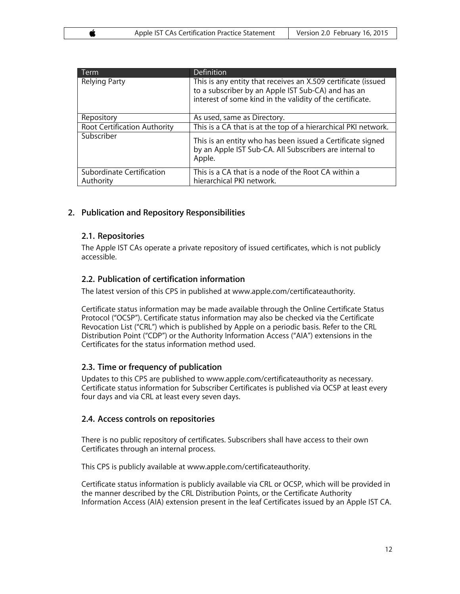| Term                                   | <b>Definition</b>                                                                                                                                                                |
|----------------------------------------|----------------------------------------------------------------------------------------------------------------------------------------------------------------------------------|
| <b>Relying Party</b>                   | This is any entity that receives an X.509 certificate (issued<br>to a subscriber by an Apple IST Sub-CA) and has an<br>interest of some kind in the validity of the certificate. |
| Repository                             | As used, same as Directory.                                                                                                                                                      |
| Root Certification Authority           | This is a CA that is at the top of a hierarchical PKI network.                                                                                                                   |
| Subscriber                             | This is an entity who has been issued a Certificate signed<br>by an Apple IST Sub-CA. All Subscribers are internal to<br>Apple.                                                  |
| Subordinate Certification<br>Authority | This is a CA that is a node of the Root CA within a<br>hierarchical PKI network.                                                                                                 |

# **2. Publication and Repository Responsibilities**

# **2.1. Repositories**

The Apple IST CAs operate a private repository of issued certificates, which is not publicly accessible.

# **2.2. Publication of certification information**

The latest version of this CPS in published at www.apple.com/certificateauthority.

Certificate status information may be made available through the Online Certificate Status Protocol ("OCSP"). Certificate status information may also be checked via the Certificate Revocation List ("CRL") which is published by Apple on a periodic basis. Refer to the CRL Distribution Point ("CDP") or the Authority Information Access ("AIA") extensions in the Certificates for the status information method used.

# **2.3. Time or frequency of publication**

Updates to this CPS are published to www.apple.com/certificateauthority as necessary. Certificate status information for Subscriber Certificates is published via OCSP at least every four days and via CRL at least every seven days.

# **2.4. Access controls on repositories**

There is no public repository of certificates. Subscribers shall have access to their own Certificates through an internal process.

This CPS is publicly available at www.apple.com/certificateauthority.

Certificate status information is publicly available via CRL or OCSP, which will be provided in the manner described by the CRL Distribution Points, or the Certificate Authority Information Access (AIA) extension present in the leaf Certificates issued by an Apple IST CA.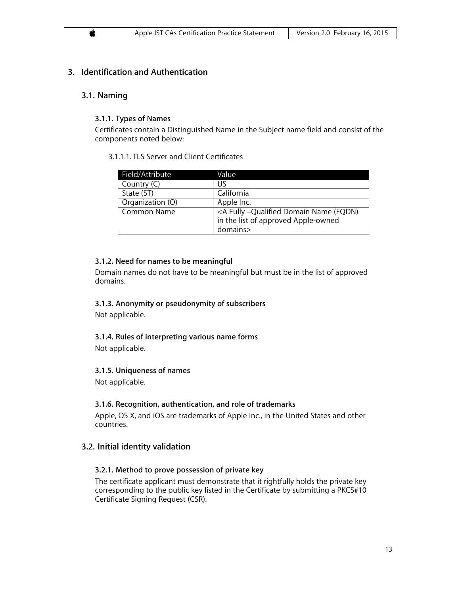# **3. Identification and Authentication**

#### **3.1. Naming**

#### **3.1.1. Types of Names**

Certificates contain a Distinguished Name in the Subject name field and consist of the components noted below:

#### 3.1.1.1. TLS Server and Client Certificates

| Field/Attribute    | Value                                                             |
|--------------------|-------------------------------------------------------------------|
| Country (C)        | IJ۲                                                               |
| State (ST)         | California                                                        |
| Organization (O)   | Apple Inc.                                                        |
| <b>Common Name</b> | <a (fqdn)<="" -qualified="" domain="" fully="" name="" td=""></a> |
|                    | in the list of approved Apple-owned                               |
|                    | domains>                                                          |

#### **3.1.2. Need for names to be meaningful**

Domain names do not have to be meaningful but must be in the list of approved domains.

#### **3.1.3. Anonymity or pseudonymity of subscribers**

Not applicable.

# **3.1.4. Rules of interpreting various name forms**

Not applicable.

#### **3.1.5. Uniqueness of names**

Not applicable.

#### **3.1.6. Recognition, authentication, and role of trademarks**

Apple, OS X, and iOS are trademarks of Apple Inc., in the United States and other countries.

# **3.2. Initial identity validation**

# **3.2.1. Method to prove possession of private key**

The certificate applicant must demonstrate that it rightfully holds the private key corresponding to the public key listed in the Certificate by submitting a PKCS#10 Certificate Signing Request (CSR).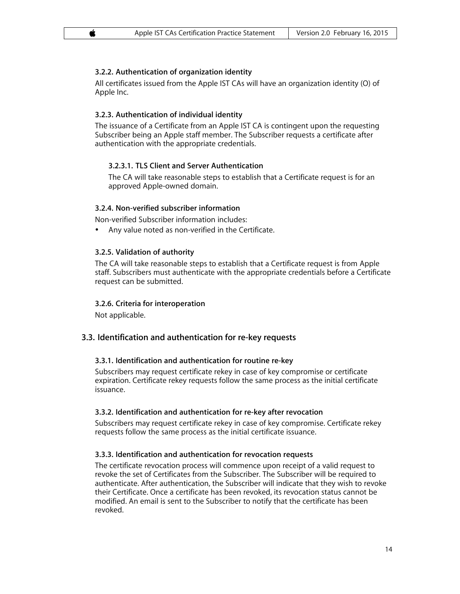# **3.2.2. Authentication of organization identity**

All certificates issued from the Apple IST CAs will have an organization identity (O) of Apple Inc.

# **3.2.3. Authentication of individual identity**

The issuance of a Certificate from an Apple IST CA is contingent upon the requesting Subscriber being an Apple staff member. The Subscriber requests a certificate after authentication with the appropriate credentials.

# **3.2.3.1. TLS Client and Server Authentication**

The CA will take reasonable steps to establish that a Certificate request is for an approved Apple-owned domain.

# **3.2.4. Non-verified subscriber information**

Non-verified Subscriber information includes:

• Any value noted as non-verified in the Certificate.

#### **3.2.5. Validation of authority**

The CA will take reasonable steps to establish that a Certificate request is from Apple staff. Subscribers must authenticate with the appropriate credentials before a Certificate request can be submitted.

#### **3.2.6. Criteria for interoperation**

Not applicable.

# **3.3. Identification and authentication for re-key requests**

#### **3.3.1. Identification and authentication for routine re-key**

Subscribers may request certificate rekey in case of key compromise or certificate expiration. Certificate rekey requests follow the same process as the initial certificate issuance.

#### **3.3.2. Identification and authentication for re-key after revocation**

Subscribers may request certificate rekey in case of key compromise. Certificate rekey requests follow the same process as the initial certificate issuance.

#### **3.3.3. Identification and authentication for revocation requests**

The certificate revocation process will commence upon receipt of a valid request to revoke the set of Certificates from the Subscriber. The Subscriber will be required to authenticate. After authentication, the Subscriber will indicate that they wish to revoke their Certificate. Once a certificate has been revoked, its revocation status cannot be modified. An email is sent to the Subscriber to notify that the certificate has been revoked.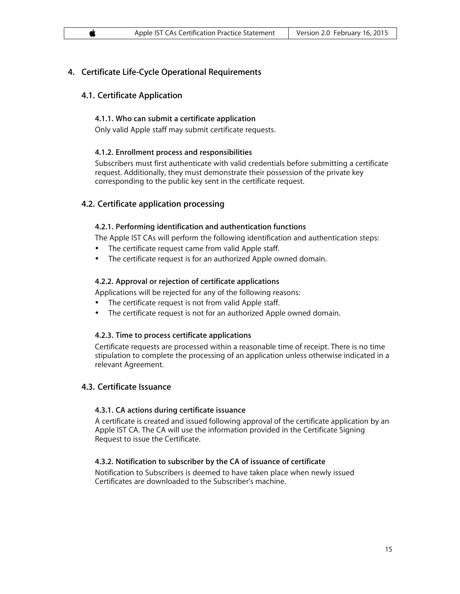# **4. Certificate Life-Cycle Operational Requirements**

# **4.1. Certificate Application**

# **4.1.1. Who can submit a certificate application**

Only valid Apple staff may submit certificate requests.

# **4.1.2. Enrollment process and responsibilities**

Subscribers must first authenticate with valid credentials before submitting a certificate request. Additionally, they must demonstrate their possession of the private key corresponding to the public key sent in the certificate request.

# **4.2. Certificate application processing**

# **4.2.1. Performing identification and authentication functions**

The Apple IST CAs will perform the following identification and authentication steps:

- The certificate request came from valid Apple staff.
- The certificate request is for an authorized Apple owned domain.

# **4.2.2. Approval or rejection of certificate applications**

Applications will be rejected for any of the following reasons:

- The certificate request is not from valid Apple staff.
- The certificate request is not for an authorized Apple owned domain.

# **4.2.3. Time to process certificate applications**

Certificate requests are processed within a reasonable time of receipt. There is no time stipulation to complete the processing of an application unless otherwise indicated in a relevant Agreement.

# **4.3. Certificate Issuance**

# **4.3.1. CA actions during certificate issuance**

A certificate is created and issued following approval of the certificate application by an Apple IST CA. The CA will use the information provided in the Certificate Signing Request to issue the Certificate.

# **4.3.2. Notification to subscriber by the CA of issuance of certificate**

Notification to Subscribers is deemed to have taken place when newly issued Certificates are downloaded to the Subscriber's machine.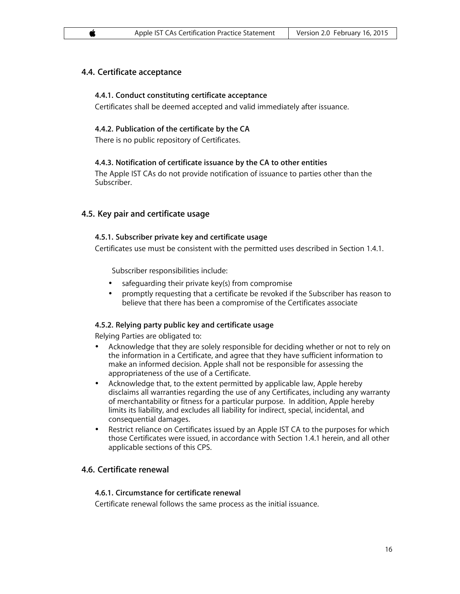# **4.4. Certificate acceptance**

#### **4.4.1. Conduct constituting certificate acceptance**

Certificates shall be deemed accepted and valid immediately after issuance.

#### **4.4.2. Publication of the certificate by the CA**

There is no public repository of Certificates.

#### **4.4.3. Notification of certificate issuance by the CA to other entities**

The Apple IST CAs do not provide notification of issuance to parties other than the Subscriber.

# **4.5. Key pair and certificate usage**

#### **4.5.1. Subscriber private key and certificate usage**

Certificates use must be consistent with the permitted uses described in Section 1.4.1.

Subscriber responsibilities include:

- safeguarding their private key(s) from compromise
- promptly requesting that a certificate be revoked if the Subscriber has reason to believe that there has been a compromise of the Certificates associate

#### **4.5.2. Relying party public key and certificate usage**

Relying Parties are obligated to:

- Acknowledge that they are solely responsible for deciding whether or not to rely on the information in a Certificate, and agree that they have sufficient information to make an informed decision. Apple shall not be responsible for assessing the appropriateness of the use of a Certificate.
- Acknowledge that, to the extent permitted by applicable law, Apple hereby disclaims all warranties regarding the use of any Certificates, including any warranty of merchantability or fitness for a particular purpose. In addition, Apple hereby limits its liability, and excludes all liability for indirect, special, incidental, and consequential damages.
- Restrict reliance on Certificates issued by an Apple IST CA to the purposes for which those Certificates were issued, in accordance with Section 1.4.1 herein, and all other applicable sections of this CPS.

# **4.6. Certificate renewal**

#### **4.6.1. Circumstance for certificate renewal**

Certificate renewal follows the same process as the initial issuance.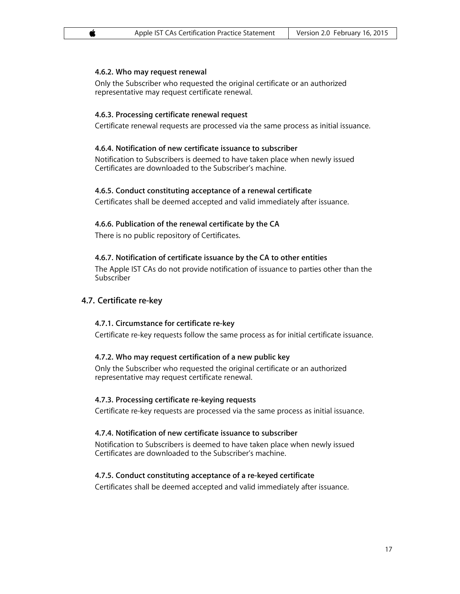#### **4.6.2. Who may request renewal**

Only the Subscriber who requested the original certificate or an authorized representative may request certificate renewal.

#### **4.6.3. Processing certificate renewal request**

Certificate renewal requests are processed via the same process as initial issuance.

#### **4.6.4. Notification of new certificate issuance to subscriber**

Notification to Subscribers is deemed to have taken place when newly issued Certificates are downloaded to the Subscriber's machine.

#### **4.6.5. Conduct constituting acceptance of a renewal certificate**

Certificates shall be deemed accepted and valid immediately after issuance.

#### **4.6.6. Publication of the renewal certificate by the CA**

There is no public repository of Certificates.

#### **4.6.7. Notification of certificate issuance by the CA to other entities**

The Apple IST CAs do not provide notification of issuance to parties other than the Subscriber

#### **4.7. Certificate re-key**

#### **4.7.1. Circumstance for certificate re-key**

Certificate re-key requests follow the same process as for initial certificate issuance.

#### **4.7.2. Who may request certification of a new public key**

Only the Subscriber who requested the original certificate or an authorized representative may request certificate renewal.

#### **4.7.3. Processing certificate re-keying requests**

Certificate re-key requests are processed via the same process as initial issuance.

#### **4.7.4. Notification of new certificate issuance to subscriber**

Notification to Subscribers is deemed to have taken place when newly issued Certificates are downloaded to the Subscriber's machine.

#### **4.7.5. Conduct constituting acceptance of a re-keyed certificate**

Certificates shall be deemed accepted and valid immediately after issuance.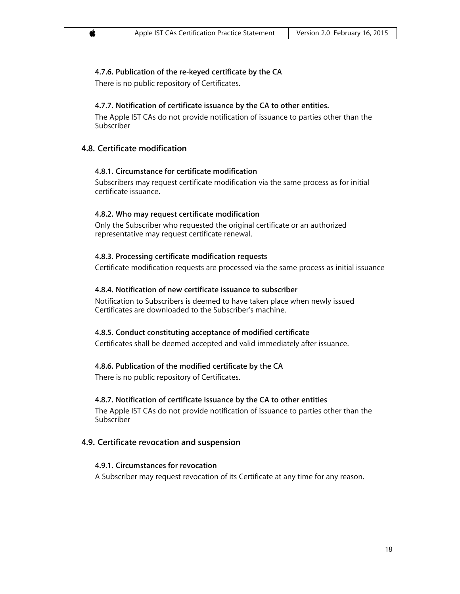# **4.7.6. Publication of the re-keyed certificate by the CA**

There is no public repository of Certificates.

# **4.7.7. Notification of certificate issuance by the CA to other entities.**

The Apple IST CAs do not provide notification of issuance to parties other than the Subscriber

# **4.8. Certificate modification**

# **4.8.1. Circumstance for certificate modification**

Subscribers may request certificate modification via the same process as for initial certificate issuance.

#### **4.8.2. Who may request certificate modification**

Only the Subscriber who requested the original certificate or an authorized representative may request certificate renewal.

#### **4.8.3. Processing certificate modification requests**

Certificate modification requests are processed via the same process as initial issuance

#### **4.8.4. Notification of new certificate issuance to subscriber**

Notification to Subscribers is deemed to have taken place when newly issued Certificates are downloaded to the Subscriber's machine.

# **4.8.5. Conduct constituting acceptance of modified certificate**

Certificates shall be deemed accepted and valid immediately after issuance.

#### **4.8.6. Publication of the modified certificate by the CA**

There is no public repository of Certificates.

# **4.8.7. Notification of certificate issuance by the CA to other entities**

The Apple IST CAs do not provide notification of issuance to parties other than the Subscriber

# **4.9. Certificate revocation and suspension**

#### **4.9.1. Circumstances for revocation**

A Subscriber may request revocation of its Certificate at any time for any reason.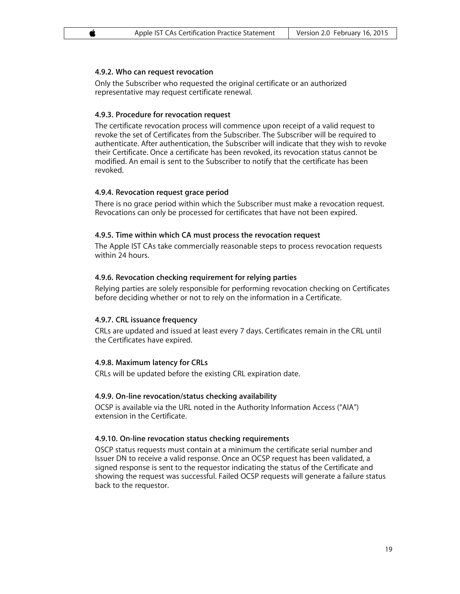#### **4.9.2. Who can request revocation**

Only the Subscriber who requested the original certificate or an authorized representative may request certificate renewal.

#### **4.9.3. Procedure for revocation request**

The certificate revocation process will commence upon receipt of a valid request to revoke the set of Certificates from the Subscriber. The Subscriber will be required to authenticate. After authentication, the Subscriber will indicate that they wish to revoke their Certificate. Once a certificate has been revoked, its revocation status cannot be modified. An email is sent to the Subscriber to notify that the certificate has been revoked.

#### **4.9.4. Revocation request grace period**

There is no grace period within which the Subscriber must make a revocation request. Revocations can only be processed for certificates that have not been expired.

#### **4.9.5. Time within which CA must process the revocation request**

The Apple IST CAs take commercially reasonable steps to process revocation requests within 24 hours.

#### **4.9.6. Revocation checking requirement for relying parties**

Relying parties are solely responsible for performing revocation checking on Certificates before deciding whether or not to rely on the information in a Certificate.

#### **4.9.7. CRL issuance frequency**

CRLs are updated and issued at least every 7 days. Certificates remain in the CRL until the Certificates have expired.

#### **4.9.8. Maximum latency for CRLs**

CRLs will be updated before the existing CRL expiration date.

#### **4.9.9. On-line revocation/status checking availability**

OCSP is available via the URL noted in the Authority Information Access ("AIA") extension in the Certificate.

#### **4.9.10. On-line revocation status checking requirements**

OSCP status requests must contain at a minimum the certificate serial number and Issuer DN to receive a valid response. Once an OCSP request has been validated, a signed response is sent to the requestor indicating the status of the Certificate and showing the request was successful. Failed OCSP requests will generate a failure status back to the requestor.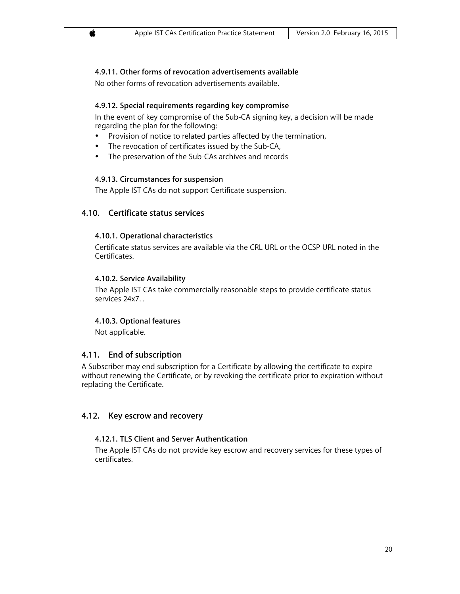# **4.9.11. Other forms of revocation advertisements available**

No other forms of revocation advertisements available.

#### **4.9.12. Special requirements regarding key compromise**

In the event of key compromise of the Sub-CA signing key, a decision will be made regarding the plan for the following:

- Provision of notice to related parties affected by the termination,
- The revocation of certificates issued by the Sub-CA,
- The preservation of the Sub-CAs archives and records

#### **4.9.13. Circumstances for suspension**

The Apple IST CAs do not support Certificate suspension.

# **4.10. Certificate status services**

#### **4.10.1. Operational characteristics**

Certificate status services are available via the CRL URL or the OCSP URL noted in the Certificates.

#### **4.10.2. Service Availability**

The Apple IST CAs take commercially reasonable steps to provide certificate status services 24x7. .

#### **4.10.3. Optional features**

Not applicable.

# **4.11. End of subscription**

A Subscriber may end subscription for a Certificate by allowing the certificate to expire without renewing the Certificate, or by revoking the certificate prior to expiration without replacing the Certificate.

# **4.12. Key escrow and recovery**

#### **4.12.1. TLS Client and Server Authentication**

The Apple IST CAs do not provide key escrow and recovery services for these types of certificates.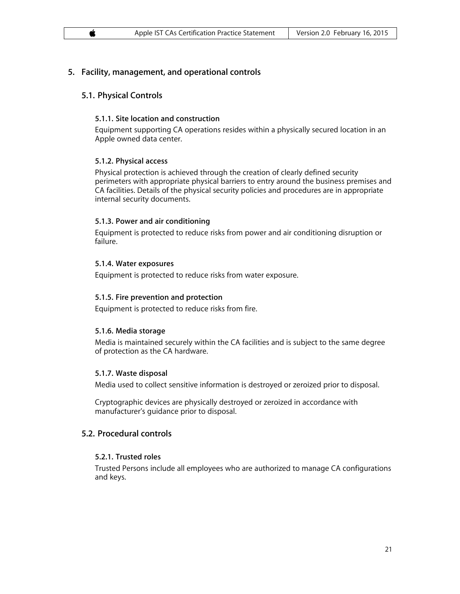# **5. Facility, management, and operational controls**

# **5.1. Physical Controls**

#### **5.1.1. Site location and construction**

Equipment supporting CA operations resides within a physically secured location in an Apple owned data center.

# **5.1.2. Physical access**

Physical protection is achieved through the creation of clearly defined security perimeters with appropriate physical barriers to entry around the business premises and CA facilities. Details of the physical security policies and procedures are in appropriate internal security documents.

#### **5.1.3. Power and air conditioning**

Equipment is protected to reduce risks from power and air conditioning disruption or failure.

#### **5.1.4. Water exposures**

Equipment is protected to reduce risks from water exposure.

#### **5.1.5. Fire prevention and protection**

Equipment is protected to reduce risks from fire.

# **5.1.6. Media storage**

Media is maintained securely within the CA facilities and is subject to the same degree of protection as the CA hardware.

# **5.1.7. Waste disposal**

Media used to collect sensitive information is destroyed or zeroized prior to disposal.

Cryptographic devices are physically destroyed or zeroized in accordance with manufacturer's guidance prior to disposal.

# **5.2. Procedural controls**

# **5.2.1. Trusted roles**

Trusted Persons include all employees who are authorized to manage CA configurations and keys.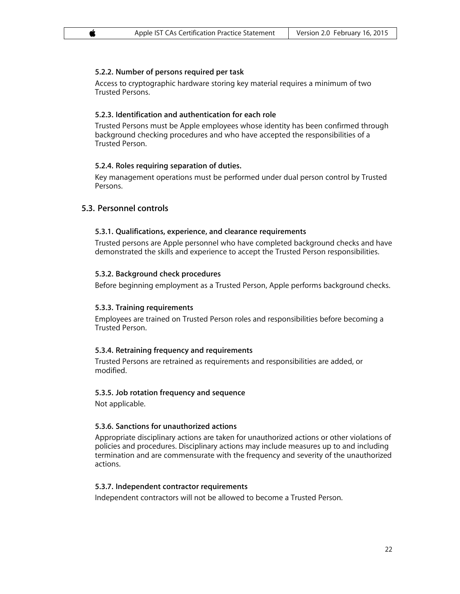# **5.2.2. Number of persons required per task**

Access to cryptographic hardware storing key material requires a minimum of two Trusted Persons.

# **5.2.3. Identification and authentication for each role**

Trusted Persons must be Apple employees whose identity has been confirmed through background checking procedures and who have accepted the responsibilities of a Trusted Person.

# **5.2.4. Roles requiring separation of duties.**

Key management operations must be performed under dual person control by Trusted Persons.

# **5.3. Personnel controls**

# **5.3.1. Qualifications, experience, and clearance requirements**

Trusted persons are Apple personnel who have completed background checks and have demonstrated the skills and experience to accept the Trusted Person responsibilities.

# **5.3.2. Background check procedures**

Before beginning employment as a Trusted Person, Apple performs background checks.

# **5.3.3. Training requirements**

Employees are trained on Trusted Person roles and responsibilities before becoming a Trusted Person.

# **5.3.4. Retraining frequency and requirements**

Trusted Persons are retrained as requirements and responsibilities are added, or modified.

# **5.3.5. Job rotation frequency and sequence**

Not applicable.

# **5.3.6. Sanctions for unauthorized actions**

Appropriate disciplinary actions are taken for unauthorized actions or other violations of policies and procedures. Disciplinary actions may include measures up to and including termination and are commensurate with the frequency and severity of the unauthorized actions.

# **5.3.7. Independent contractor requirements**

Independent contractors will not be allowed to become a Trusted Person.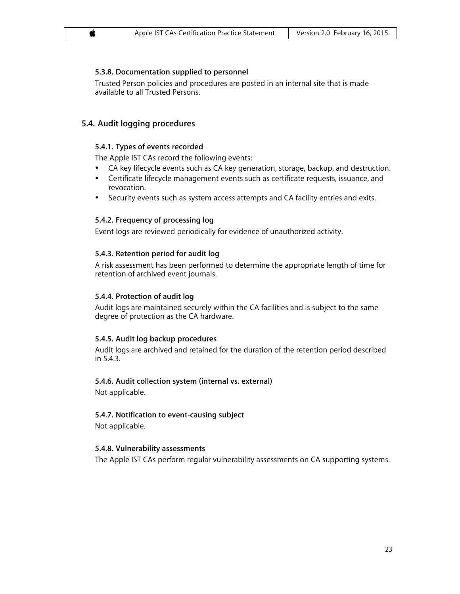# **5.3.8. Documentation supplied to personnel**

Trusted Person policies and procedures are posted in an internal site that is made available to all Trusted Persons.

# **5.4. Audit logging procedures**

# **5.4.1. Types of events recorded**

The Apple IST CAs record the following events:

- CA key lifecycle events such as CA key generation, storage, backup, and destruction.
- Certificate lifecycle management events such as certificate requests, issuance, and revocation.
- Security events such as system access attempts and CA facility entries and exits.

#### **5.4.2. Frequency of processing log**

Event logs are reviewed periodically for evidence of unauthorized activity.

#### **5.4.3. Retention period for audit log**

A risk assessment has been performed to determine the appropriate length of time for retention of archived event journals.

#### **5.4.4. Protection of audit log**

Audit logs are maintained securely within the CA facilities and is subject to the same degree of protection as the CA hardware.

# **5.4.5. Audit log backup procedures**

Audit logs are archived and retained for the duration of the retention period described in 5.4.3.

# **5.4.6. Audit collection system (internal vs. external)**

Not applicable.

# **5.4.7. Notification to event-causing subject**

Not applicable.

#### **5.4.8. Vulnerability assessments**

The Apple IST CAs perform regular vulnerability assessments on CA supporting systems.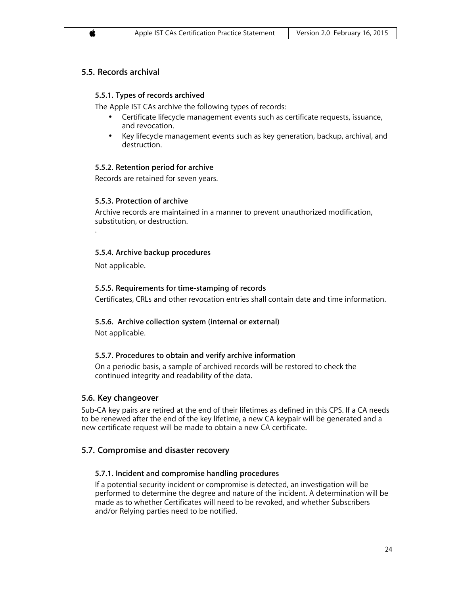# **5.5. Records archival**

# **5.5.1. Types of records archived**

The Apple IST CAs archive the following types of records:

- Certificate lifecycle management events such as certificate requests, issuance, and revocation.
- Key lifecycle management events such as key generation, backup, archival, and destruction.

# **5.5.2. Retention period for archive**

Records are retained for seven years.

# **5.5.3. Protection of archive**

Archive records are maintained in a manner to prevent unauthorized modification, substitution, or destruction.

# **5.5.4. Archive backup procedures**

Not applicable.

.

# **5.5.5. Requirements for time-stamping of records**

Certificates, CRLs and other revocation entries shall contain date and time information.

# **5.5.6. Archive collection system (internal or external)**

Not applicable.

# **5.5.7. Procedures to obtain and verify archive information**

On a periodic basis, a sample of archived records will be restored to check the continued integrity and readability of the data.

# **5.6. Key changeover**

Sub-CA key pairs are retired at the end of their lifetimes as defined in this CPS. If a CA needs to be renewed after the end of the key lifetime, a new CA keypair will be generated and a new certificate request will be made to obtain a new CA certificate.

# **5.7. Compromise and disaster recovery**

# **5.7.1. Incident and compromise handling procedures**

If a potential security incident or compromise is detected, an investigation will be performed to determine the degree and nature of the incident. A determination will be made as to whether Certificates will need to be revoked, and whether Subscribers and/or Relying parties need to be notified.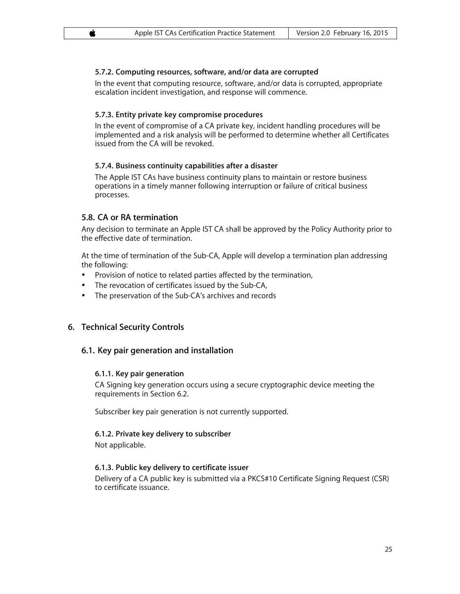# **5.7.2. Computing resources, software, and/or data are corrupted**

In the event that computing resource, software, and/or data is corrupted, appropriate escalation incident investigation, and response will commence.

#### **5.7.3. Entity private key compromise procedures**

In the event of compromise of a CA private key, incident handling procedures will be implemented and a risk analysis will be performed to determine whether all Certificates issued from the CA will be revoked.

#### **5.7.4. Business continuity capabilities after a disaster**

The Apple IST CAs have business continuity plans to maintain or restore business operations in a timely manner following interruption or failure of critical business processes.

# **5.8. CA or RA termination**

Any decision to terminate an Apple IST CA shall be approved by the Policy Authority prior to the effective date of termination.

At the time of termination of the Sub-CA, Apple will develop a termination plan addressing the following:

- Provision of notice to related parties affected by the termination,
- The revocation of certificates issued by the Sub-CA,
- The preservation of the Sub-CA's archives and records

# **6. Technical Security Controls**

# **6.1. Key pair generation and installation**

#### **6.1.1. Key pair generation**

CA Signing key generation occurs using a secure cryptographic device meeting the requirements in Section 6.2.

Subscriber key pair generation is not currently supported.

#### **6.1.2. Private key delivery to subscriber**

Not applicable.

# **6.1.3. Public key delivery to certificate issuer**

Delivery of a CA public key is submitted via a PKCS#10 Certificate Signing Request (CSR) to certificate issuance.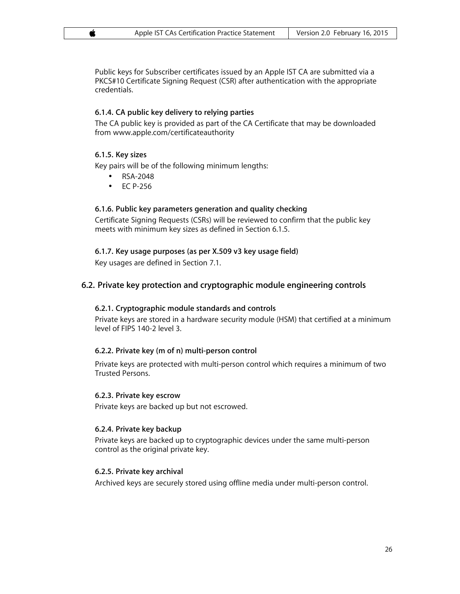Public keys for Subscriber certificates issued by an Apple IST CA are submitted via a PKCS#10 Certificate Signing Request (CSR) after authentication with the appropriate credentials.

#### **6.1.4. CA public key delivery to relying parties**

The CA public key is provided as part of the CA Certificate that may be downloaded from www.apple.com/certificateauthority

#### **6.1.5. Key sizes**

Key pairs will be of the following minimum lengths:

- RSA-2048
- EC P-256

#### **6.1.6. Public key parameters generation and quality checking**

Certificate Signing Requests (CSRs) will be reviewed to confirm that the public key meets with minimum key sizes as defined in Section 6.1.5.

# **6.1.7. Key usage purposes (as per X.509 v3 key usage field)**

Key usages are defined in Section 7.1.

# **6.2. Private key protection and cryptographic module engineering controls**

#### **6.2.1. Cryptographic module standards and controls**

Private keys are stored in a hardware security module (HSM) that certified at a minimum level of FIPS 140-2 level 3.

#### **6.2.2. Private key (m of n) multi-person control**

Private keys are protected with multi-person control which requires a minimum of two Trusted Persons.

#### **6.2.3. Private key escrow**

Private keys are backed up but not escrowed.

#### **6.2.4. Private key backup**

Private keys are backed up to cryptographic devices under the same multi-person control as the original private key.

#### **6.2.5. Private key archival**

Archived keys are securely stored using offline media under multi-person control.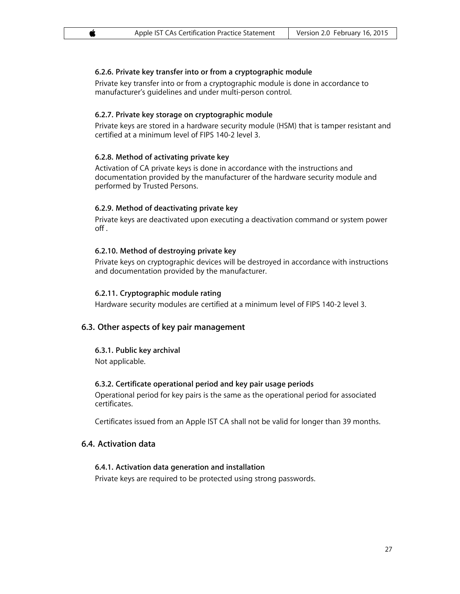# **6.2.6. Private key transfer into or from a cryptographic module**

Private key transfer into or from a cryptographic module is done in accordance to manufacturer's guidelines and under multi-person control.

#### **6.2.7. Private key storage on cryptographic module**

Private keys are stored in a hardware security module (HSM) that is tamper resistant and certified at a minimum level of FIPS 140-2 level 3.

#### **6.2.8. Method of activating private key**

Activation of CA private keys is done in accordance with the instructions and documentation provided by the manufacturer of the hardware security module and performed by Trusted Persons.

# **6.2.9. Method of deactivating private key**

Private keys are deactivated upon executing a deactivation command or system power off .

#### **6.2.10. Method of destroying private key**

Private keys on cryptographic devices will be destroyed in accordance with instructions and documentation provided by the manufacturer.

#### **6.2.11. Cryptographic module rating**

Hardware security modules are certified at a minimum level of FIPS 140-2 level 3.

# **6.3. Other aspects of key pair management**

**6.3.1. Public key archival** Not applicable.

#### **6.3.2. Certificate operational period and key pair usage periods**

Operational period for key pairs is the same as the operational period for associated certificates.

Certificates issued from an Apple IST CA shall not be valid for longer than 39 months.

# **6.4. Activation data**

#### **6.4.1. Activation data generation and installation**

Private keys are required to be protected using strong passwords.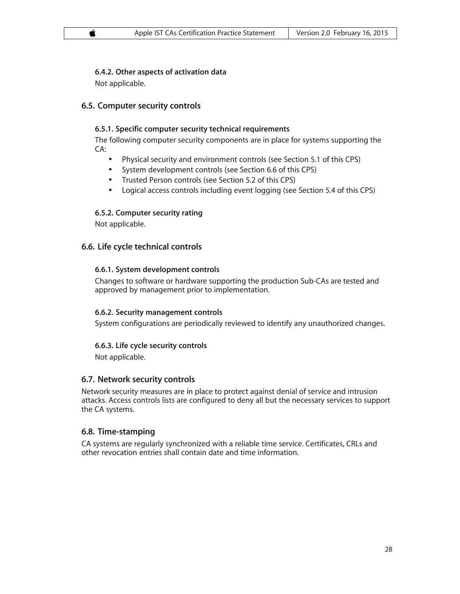# **6.4.2. Other aspects of activation data**

Not applicable.

# **6.5. Computer security controls**

# **6.5.1. Specific computer security technical requirements**

The following computer security components are in place for systems supporting the CA:

- Physical security and environment controls (see Section 5.1 of this CPS)
- System development controls (see Section 6.6 of this CPS)
- Trusted Person controls (see Section 5.2 of this CPS)
- Logical access controls including event logging (see Section 5.4 of this CPS)

# **6.5.2. Computer security rating**

Not applicable.

# **6.6. Life cycle technical controls**

# **6.6.1. System development controls**

Changes to software or hardware supporting the production Sub-CAs are tested and approved by management prior to implementation.

# **6.6.2. Security management controls**

System configurations are periodically reviewed to identify any unauthorized changes.

# **6.6.3. Life cycle security controls**

Not applicable.

# **6.7. Network security controls**

Network security measures are in place to protect against denial of service and intrusion attacks. Access controls lists are configured to deny all but the necessary services to support the CA systems.

# **6.8. Time-stamping**

CA systems are regularly synchronized with a reliable time service. Certificates, CRLs and other revocation entries shall contain date and time information.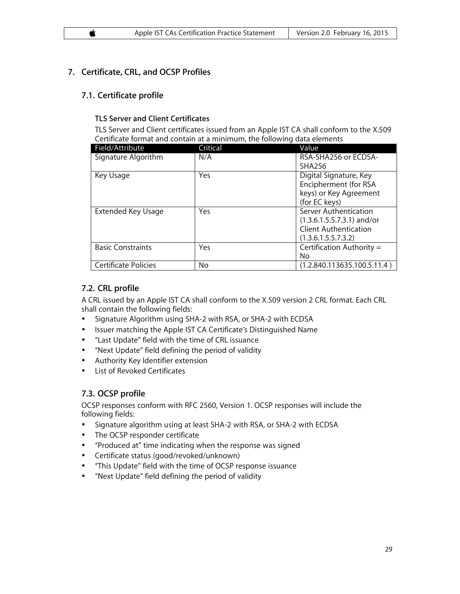# **7. Certificate, CRL, and OCSP Profiles**

# **7.1. Certificate profile**

# **TLS Server and Client Certificates**

TLS Server and Client certificates issued from an Apple IST CA shall conform to the X.509 Certificate format and contain at a minimum, the following data elements

| Field/Attribute          | Critical | Value                        |
|--------------------------|----------|------------------------------|
| Signature Algorithm      | N/A      | RSA-SHA256 or ECDSA-         |
|                          |          | <b>SHA256</b>                |
| Key Usage                | Yes      | Digital Signature, Key       |
|                          |          | Encipherment (for RSA        |
|                          |          | keys) or Key Agreement       |
|                          |          | (for EC keys)                |
| Extended Key Usage       | Yes      | Server Authentication        |
|                          |          | $(1.3.6.1.5.5.7.3.1)$ and/or |
|                          |          | <b>Client Authentication</b> |
|                          |          | (1.3.6.1.5.5.7.3.2)          |
| <b>Basic Constraints</b> | Yes      | Certification Authority =    |
|                          |          | No                           |
| Certificate Policies     | No.      | (1.2.840.113635.100.5.11.4)  |

# **7.2. CRL profile**

A CRL issued by an Apple IST CA shall conform to the X.509 version 2 CRL format. Each CRL shall contain the following fields:

- Signature Algorithm using SHA-2 with RSA, or SHA-2 with ECDSA
- Issuer matching the Apple IST CA Certificate's Distinguished Name
- "Last Update" field with the time of CRL issuance
- "Next Update" field defining the period of validity
- Authority Key Identifier extension
- List of Revoked Certificates

# **7.3. OCSP profile**

OCSP responses conform with RFC 2560, Version 1. OCSP responses will include the following fields:

- Signature algorithm using at least SHA-2 with RSA, or SHA-2 with ECDSA
- The OCSP responder certificate
- "Produced at" time indicating when the response was signed
- Certificate status (good/revoked/unknown)
- "This Update" field with the time of OCSP response issuance
- "Next Update" field defining the period of validity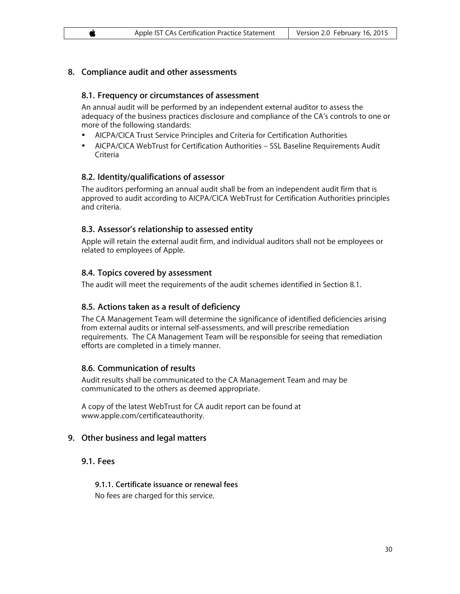# **8. Compliance audit and other assessments**

#### **8.1. Frequency or circumstances of assessment**

An annual audit will be performed by an independent external auditor to assess the adequacy of the business practices disclosure and compliance of the CA's controls to one or more of the following standards:

- AICPA/CICA Trust Service Principles and Criteria for Certification Authorities
- AICPA/CICA WebTrust for Certification Authorities SSL Baseline Requirements Audit Criteria

#### **8.2. Identity/qualifications of assessor**

The auditors performing an annual audit shall be from an independent audit firm that is approved to audit according to AICPA/CICA WebTrust for Certification Authorities principles and criteria.

#### **8.3. Assessor's relationship to assessed entity**

Apple will retain the external audit firm, and individual auditors shall not be employees or related to employees of Apple.

#### **8.4. Topics covered by assessment**

The audit will meet the requirements of the audit schemes identified in Section 8.1.

#### **8.5. Actions taken as a result of deficiency**

The CA Management Team will determine the significance of identified deficiencies arising from external audits or internal self-assessments, and will prescribe remediation requirements. The CA Management Team will be responsible for seeing that remediation efforts are completed in a timely manner.

#### **8.6. Communication of results**

Audit results shall be communicated to the CA Management Team and may be communicated to the others as deemed appropriate.

A copy of the latest WebTrust for CA audit report can be found at www.apple.com/certificateauthority.

#### **9. Other business and legal matters**

#### **9.1. Fees**

#### **9.1.1. Certificate issuance or renewal fees**

No fees are charged for this service.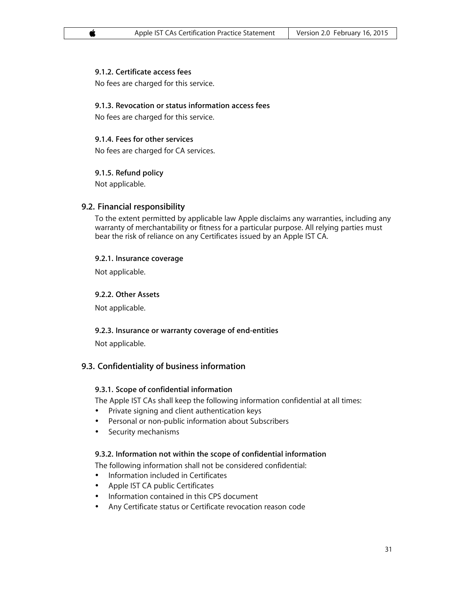# **9.1.2. Certificate access fees**

No fees are charged for this service.

#### **9.1.3. Revocation or status information access fees**

No fees are charged for this service.

#### **9.1.4. Fees for other services**

No fees are charged for CA services.

#### **9.1.5. Refund policy**

Not applicable.

# **9.2. Financial responsibility**

To the extent permitted by applicable law Apple disclaims any warranties, including any warranty of merchantability or fitness for a particular purpose. All relying parties must bear the risk of reliance on any Certificates issued by an Apple IST CA.

#### **9.2.1. Insurance coverage**

Not applicable.

# **9.2.2. Other Assets**

Not applicable.

#### **9.2.3. Insurance or warranty coverage of end-entities**

Not applicable.

# **9.3. Confidentiality of business information**

#### **9.3.1. Scope of confidential information**

The Apple IST CAs shall keep the following information confidential at all times:

- Private signing and client authentication keys
- Personal or non-public information about Subscribers
- Security mechanisms

#### **9.3.2. Information not within the scope of confidential information**

The following information shall not be considered confidential:

- Information included in Certificates
- Apple IST CA public Certificates
- Information contained in this CPS document
- Any Certificate status or Certificate revocation reason code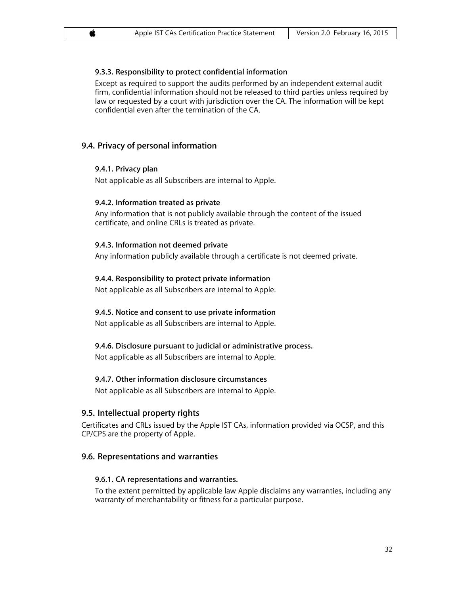# **9.3.3. Responsibility to protect confidential information**

Except as required to support the audits performed by an independent external audit firm, confidential information should not be released to third parties unless required by law or requested by a court with jurisdiction over the CA. The information will be kept confidential even after the termination of the CA.

# **9.4. Privacy of personal information**

#### **9.4.1. Privacy plan**

Not applicable as all Subscribers are internal to Apple.

#### **9.4.2. Information treated as private**

Any information that is not publicly available through the content of the issued certificate, and online CRLs is treated as private.

#### **9.4.3. Information not deemed private**

Any information publicly available through a certificate is not deemed private.

#### **9.4.4. Responsibility to protect private information**

Not applicable as all Subscribers are internal to Apple.

# **9.4.5. Notice and consent to use private information**

Not applicable as all Subscribers are internal to Apple.

# **9.4.6. Disclosure pursuant to judicial or administrative process.**

Not applicable as all Subscribers are internal to Apple.

# **9.4.7. Other information disclosure circumstances**

Not applicable as all Subscribers are internal to Apple.

# **9.5. Intellectual property rights**

Certificates and CRLs issued by the Apple IST CAs, information provided via OCSP, and this CP/CPS are the property of Apple.

# **9.6. Representations and warranties**

#### **9.6.1. CA representations and warranties.**

To the extent permitted by applicable law Apple disclaims any warranties, including any warranty of merchantability or fitness for a particular purpose.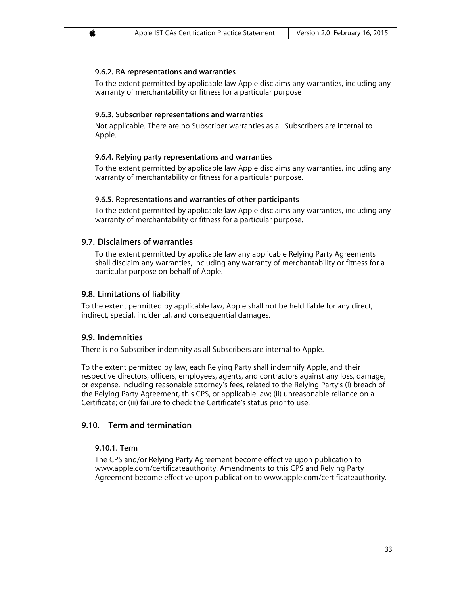#### **9.6.2. RA representations and warranties**

To the extent permitted by applicable law Apple disclaims any warranties, including any warranty of merchantability or fitness for a particular purpose

#### **9.6.3. Subscriber representations and warranties**

Not applicable. There are no Subscriber warranties as all Subscribers are internal to Apple.

#### **9.6.4. Relying party representations and warranties**

To the extent permitted by applicable law Apple disclaims any warranties, including any warranty of merchantability or fitness for a particular purpose.

#### **9.6.5. Representations and warranties of other participants**

To the extent permitted by applicable law Apple disclaims any warranties, including any warranty of merchantability or fitness for a particular purpose.

#### **9.7. Disclaimers of warranties**

To the extent permitted by applicable law any applicable Relying Party Agreements shall disclaim any warranties, including any warranty of merchantability or fitness for a particular purpose on behalf of Apple.

#### **9.8. Limitations of liability**

To the extent permitted by applicable law, Apple shall not be held liable for any direct, indirect, special, incidental, and consequential damages.

#### **9.9. Indemnities**

There is no Subscriber indemnity as all Subscribers are internal to Apple.

To the extent permitted by law, each Relying Party shall indemnify Apple, and their respective directors, officers, employees, agents, and contractors against any loss, damage, or expense, including reasonable attorney's fees, related to the Relying Party's (i) breach of the Relying Party Agreement, this CPS, or applicable law; (ii) unreasonable reliance on a Certificate; or (iii) failure to check the Certificate's status prior to use.

# **9.10. Term and termination**

#### **9.10.1. Term**

The CPS and/or Relying Party Agreement become effective upon publication to www.apple.com/certificateauthority. Amendments to this CPS and Relying Party Agreement become effective upon publication to www.apple.com/certificateauthority.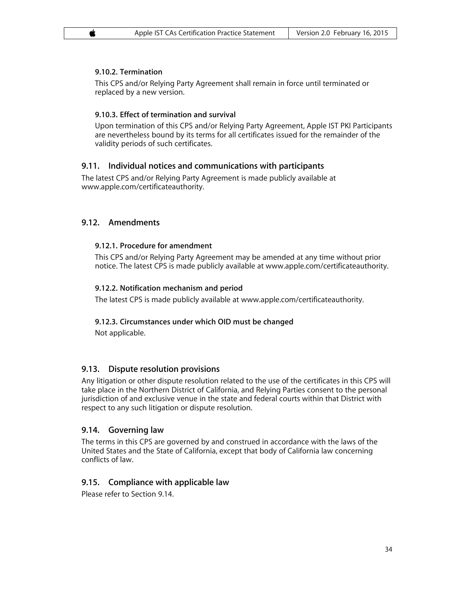# **9.10.2. Termination**

This CPS and/or Relying Party Agreement shall remain in force until terminated or replaced by a new version.

# **9.10.3. Effect of termination and survival**

Upon termination of this CPS and/or Relying Party Agreement, Apple IST PKI Participants are nevertheless bound by its terms for all certificates issued for the remainder of the validity periods of such certificates.

# **9.11. Individual notices and communications with participants**

The latest CPS and/or Relying Party Agreement is made publicly available at www.apple.com/certificateauthority.

# **9.12. Amendments**

# **9.12.1. Procedure for amendment**

This CPS and/or Relying Party Agreement may be amended at any time without prior notice. The latest CPS is made publicly available at www.apple.com/certificateauthority.

# **9.12.2. Notification mechanism and period**

The latest CPS is made publicly available at www.apple.com/certificateauthority.

# **9.12.3. Circumstances under which OID must be changed**

Not applicable.

# **9.13. Dispute resolution provisions**

Any litigation or other dispute resolution related to the use of the certificates in this CPS will take place in the Northern District of California, and Relying Parties consent to the personal jurisdiction of and exclusive venue in the state and federal courts within that District with respect to any such litigation or dispute resolution.

# **9.14. Governing law**

The terms in this CPS are governed by and construed in accordance with the laws of the United States and the State of California, except that body of California law concerning conflicts of law.

# **9.15. Compliance with applicable law**

Please refer to Section 9.14.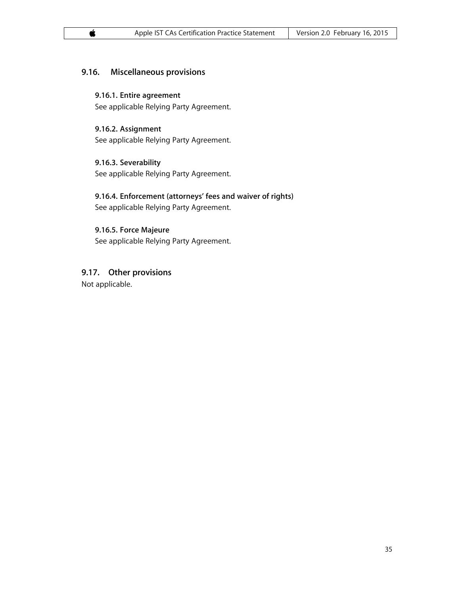# **9.16. Miscellaneous provisions**

**9.16.1. Entire agreement** See applicable Relying Party Agreement.

**9.16.2. Assignment** See applicable Relying Party Agreement.

**9.16.3. Severability** See applicable Relying Party Agreement.

# **9.16.4. Enforcement (attorneys' fees and waiver of rights)** See applicable Relying Party Agreement.

**9.16.5. Force Majeure** See applicable Relying Party Agreement.

**9.17. Other provisions**

Not applicable.